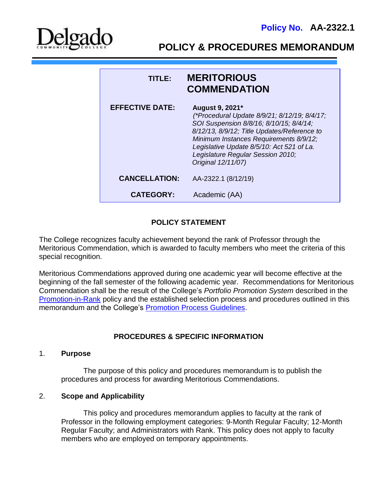

**POLICY & PROCEDURES MEMORANDUM**

| TITLE:                 | <b>MERITORIOUS</b><br><b>COMMENDATION</b>                                                                                                                                                                                                                                                                   |
|------------------------|-------------------------------------------------------------------------------------------------------------------------------------------------------------------------------------------------------------------------------------------------------------------------------------------------------------|
| <b>EFFECTIVE DATE:</b> | August 9, 2021*<br>(*Procedural Update 8/9/21; 8/12/19; 8/4/17;<br>SOI Suspension 8/8/16; 8/10/15; 8/4/14;<br>8/12/13, 8/9/12; Title Updates/Reference to<br>Minimum Instances Requirements 8/9/12;<br>Legislative Update 8/5/10: Act 521 of La.<br>Legislature Regular Session 2010;<br>Original 12/11/07) |
| <b>CANCELLATION:</b>   | AA-2322.1 (8/12/19)                                                                                                                                                                                                                                                                                         |
| <b>CATEGORY:</b>       | Academic (AA)                                                                                                                                                                                                                                                                                               |

# **POLICY STATEMENT**

The College recognizes faculty achievement beyond the rank of Professor through the Meritorious Commendation, which is awarded to faculty members who meet the criteria of this special recognition.

Meritorious Commendations approved during one academic year will become effective at the beginning of the fall semester of the following academic year. Recommendations for Meritorious Commendation shall be the result of the College's *Portfolio Promotion System* described in the [Promotion-in-Rank](http://docushare3.dcc.edu/docushare/dsweb/Get/Document-141) policy and the established selection process and procedures outlined in this memorandum and the College's [Promotion Process Guidelines.](http://docushare3.dcc.edu/docushare/dsweb/Get/Document-2820/2321-1I+Promotion+Process+Guidelines+update+Fall+2007.doc)

# **PROCEDURES & SPECIFIC INFORMATION**

# 1. **Purpose**

The purpose of this policy and procedures memorandum is to publish the procedures and process for awarding Meritorious Commendations.

# 2. **Scope and Applicability**

This policy and procedures memorandum applies to faculty at the rank of Professor in the following employment categories: 9-Month Regular Faculty; 12-Month Regular Faculty; and Administrators with Rank. This policy does not apply to faculty members who are employed on temporary appointments.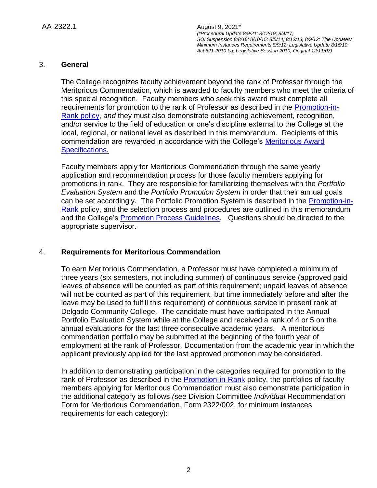# 3. **General**

The College recognizes faculty achievement beyond the rank of Professor through the Meritorious Commendation, which is awarded to faculty members who meet the criteria of this special recognition. Faculty members who seek this award must complete all requirements for promotion to the rank of Professor as described in the [Promotion-in-](http://docushare3.dcc.edu/docushare/dsweb/Get/Document-141)[Rank policy,](http://docushare3.dcc.edu/docushare/dsweb/Get/Document-141) *and* they must also demonstrate outstanding achievement, recognition, and/or service to the field of education or one's discipline external to the College at the local, regional, or national level as described in this memorandum. Recipients of this commendation are rewarded in accordance with the College's [Meritorious Award](http://docushare3.dcc.edu/docushare/dsweb/Get/Document-4044)  [Specifications.](http://docushare3.dcc.edu/docushare/dsweb/Get/Document-4044)

Faculty members apply for Meritorious Commendation through the same yearly application and recommendation process for those faculty members applying for promotions in rank. They are responsible for familiarizing themselves with the *Portfolio Evaluation System* and the *Portfolio Promotion System* in order that their annual goals can be set accordingly. The Portfolio Promotion System is described in the [Promotion-in-](http://docushare3.dcc.edu/docushare/dsweb/Get/Document-141)[Rank](http://docushare3.dcc.edu/docushare/dsweb/Get/Document-141) policy, and the selection process and procedures are outlined in this memorandum and the College's [Promotion Process Guidelines.](http://docushare3.dcc.edu/docushare/dsweb/Get/Document-2820/2321-1I+Promotion+Process+Guidelines+update+Fall+2007.doc) Questions should be directed to the appropriate supervisor.

# 4. **Requirements for Meritorious Commendation**

To earn Meritorious Commendation, a Professor must have completed a minimum of three years (six semesters, not including summer) of continuous service (approved paid leaves of absence will be counted as part of this requirement; unpaid leaves of absence will not be counted as part of this requirement, but time immediately before and after the leave may be used to fulfill this requirement) of continuous service in present rank at Delgado Community College. The candidate must have participated in the Annual Portfolio Evaluation System while at the College and received a rank of 4 or 5 on the annual evaluations for the last three consecutive academic years. A meritorious commendation portfolio may be submitted at the beginning of the fourth year of employment at the rank of Professor. Documentation from the academic year in which the applicant previously applied for the last approved promotion may be considered.

In addition to demonstrating participation in the categories required for promotion to the rank of Professor as described in the [Promotion-in-Rank](http://docushare3.dcc.edu/docushare/dsweb/Get/Document-141) policy, the portfolios of faculty members applying for Meritorious Commendation must also demonstrate participation in the additional category as follows *(*see Division Committee *Individual* Recommendation Form for Meritorious Commendation, Form 2322/002, for minimum instances requirements for each category):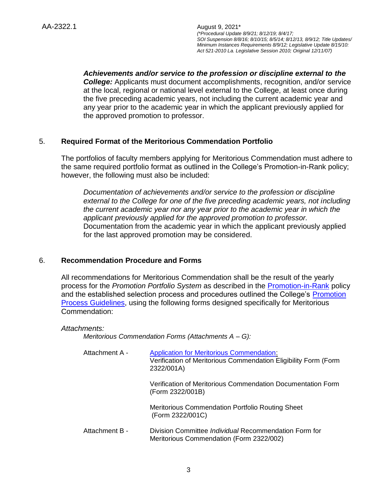*Achievements and/or service to the profession or discipline external to the College:* Applicants must document accomplishments, recognition, and/or service at the local, regional or national level external to the College, at least once during the five preceding academic years, not including the current academic year and any year prior to the academic year in which the applicant previously applied for the approved promotion to professor.

# 5. **Required Format of the Meritorious Commendation Portfolio**

The portfolios of faculty members applying for Meritorious Commendation must adhere to the same required portfolio format as outlined in the College's Promotion-in-Rank policy; however, the following must also be included:

*Documentation of achievements and/or service to the profession or discipline external to the College for one of the five preceding academic years, not including the current academic year nor any year prior to the academic year in which the applicant previously applied for the approved promotion to professor.* Documentation from the academic year in which the applicant previously applied for the last approved promotion may be considered.

# 6. **Recommendation Procedure and Forms**

All recommendations for Meritorious Commendation shall be the result of the yearly process for the *Promotion Portfolio System* as described in the [Promotion-in-Rank](http://docushare3.dcc.edu/docushare/dsweb/Get/Document-141) policy and the established selection process and procedures outlined the College's Promotion [Process Guidelines,](http://docushare3.dcc.edu/docushare/dsweb/Get/Document-2820/2321-1I+Promotion+Process+Guidelines+update+Fall+2007.doc) using the following forms designed specifically for Meritorious Commendation:

*Attachments:*

*Meritorious Commendation Forms (Attachments A – G):*

| Attachment A - | <b>Application for Meritorious Commendation:</b><br>Verification of Meritorious Commendation Eligibility Form (Form<br>2322/001A) |
|----------------|-----------------------------------------------------------------------------------------------------------------------------------|
|                | Verification of Meritorious Commendation Documentation Form<br>(Form 2322/001B)                                                   |
|                | Meritorious Commendation Portfolio Routing Sheet<br>(Form 2322/001C)                                                              |
| Attachment B - | Division Committee <i>Individual</i> Recommendation Form for<br>Meritorious Commendation (Form 2322/002)                          |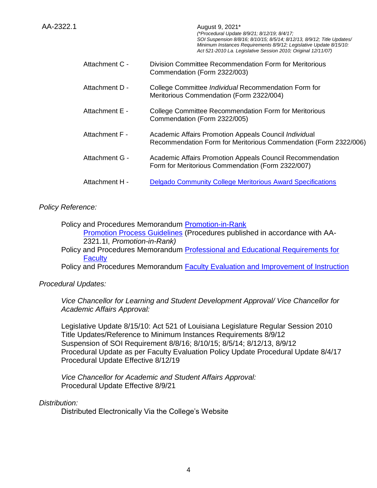|                | SOI Suspension 8/8/16; 8/10/15; 8/5/14; 8/12/13, 8/9/12; Title Updates/<br>Minimum Instances Requirements 8/9/12; Legislative Update 8/15/10:<br>Act 521-2010 La. Legislative Session 2010; Original 12/11/07) |
|----------------|----------------------------------------------------------------------------------------------------------------------------------------------------------------------------------------------------------------|
| Attachment C - | Division Committee Recommendation Form for Meritorious<br>Commendation (Form 2322/003)                                                                                                                         |
| Attachment D - | College Committee Individual Recommendation Form for<br>Meritorious Commendation (Form 2322/004)                                                                                                               |
| Attachment E - | College Committee Recommendation Form for Meritorious<br>Commendation (Form 2322/005)                                                                                                                          |
| Attachment F - | Academic Affairs Promotion Appeals Council Individual<br>Recommendation Form for Meritorious Commendation (Form 2322/006)                                                                                      |
| Attachment G - | Academic Affairs Promotion Appeals Council Recommendation<br>Form for Meritorious Commendation (Form 2322/007)                                                                                                 |
| Attachment H - | <b>Delgado Community College Meritorious Award Specifications</b>                                                                                                                                              |

*(\*Procedural Update 8/9/21; 8/12/19; 8/4/17;* 

# *Policy Reference:*

Policy and Procedures Memorandum [Promotion-in-Rank](http://docushare3.dcc.edu/docushare/dsweb/Get/Document-141) [Promotion Process Guidelines](http://docushare3.dcc.edu/docushare/dsweb/Get/Document-2820/2321-1I+Promotion+Process+Guidelines+update+Fall+2007.doc) (Procedures published in accordance with AA-2321.1I, *Promotion-in-Rank)*

Policy and Procedures Memorandum Professional and Educational Requirements for **[Faculty](http://docushare.dcc.edu/dscgi/ds.py/Get/File-137/2122-4f.DOC)** 

Policy and Procedures Memorandum **Faculty Evaluation and Improvement of Instruction** 

*Procedural Updates:*

*Vice Chancellor for Learning and Student Development Approval/ Vice Chancellor for Academic Affairs Approval:*

Legislative Update 8/15/10: Act 521 of Louisiana Legislature Regular Session 2010 Title Updates/Reference to Minimum Instances Requirements 8/9/12 Suspension of SOI Requirement 8/8/16; 8/10/15; 8/5/14; 8/12/13, 8/9/12 Procedural Update as per Faculty Evaluation Policy Update Procedural Update 8/4/17 Procedural Update Effective 8/12/19

*Vice Chancellor for Academic and Student Affairs Approval:* Procedural Update Effective 8/9/21

# *Distribution:*

Distributed Electronically Via the College's Website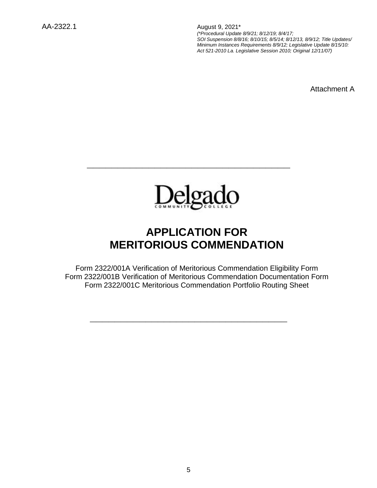Attachment A



**\_\_\_\_\_\_\_\_\_\_\_\_\_\_\_\_\_\_\_\_\_\_\_\_\_\_\_\_\_\_\_\_\_**

# **APPLICATION FOR MERITORIOUS COMMENDATION**

Form 2322/001A Verification of Meritorious Commendation Eligibility Form Form 2322/001B Verification of Meritorious Commendation Documentation Form Form 2322/001C Meritorious Commendation Portfolio Routing Sheet

**\_\_\_\_\_\_\_\_\_\_\_\_\_\_\_\_\_\_\_\_\_\_\_\_\_\_\_\_\_\_\_\_**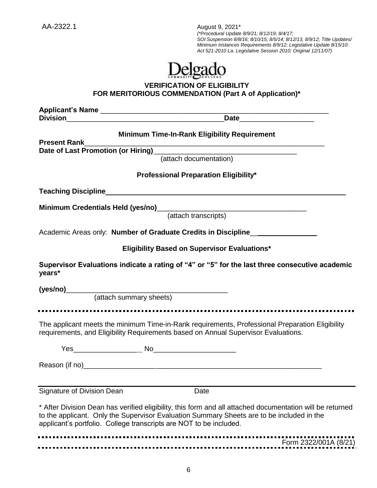

# **VERIFICATION OF ELIGIBILITY FOR MERITORIOUS COMMENDATION (Part A of Application)\***

**Applicant's Name** \_\_\_\_\_\_\_\_\_\_\_\_\_\_\_\_\_\_\_\_\_\_\_\_\_\_\_\_\_\_\_\_\_\_\_\_\_\_\_\_\_\_\_\_\_\_\_\_\_\_\_\_\_\_\_\_\_\_ **Division**\_\_\_\_\_\_\_\_\_\_\_\_\_\_\_\_\_\_\_\_\_\_\_\_\_\_\_\_\_\_\_\_\_\_\_\_\_\_\_\_**Date**\_\_\_\_\_\_\_\_\_\_\_\_\_\_\_\_\_\_\_ **Minimum Time-In-Rank Eligibility Requirement Present Rank**\_\_\_\_\_\_\_\_\_\_\_\_\_\_\_\_\_\_\_\_\_\_\_\_\_\_\_\_\_\_\_\_\_\_\_\_\_\_\_\_\_\_\_\_\_\_\_\_\_\_\_\_\_\_\_\_\_\_\_\_\_ Date of Last Promotion (or Hiring) (attach documentation) **Professional Preparation Eligibility\* Teaching Discipline**\_\_\_\_\_\_\_\_\_\_\_\_\_\_\_\_\_\_\_\_\_\_\_\_\_\_\_\_\_\_\_\_\_\_\_\_\_\_\_\_\_\_\_\_\_\_\_\_\_\_\_\_\_\_\_\_\_\_\_\_\_ **Minimum Credentials Held (yes/no)**\_\_\_\_\_\_\_\_\_\_\_\_\_\_\_\_\_\_\_\_\_\_\_\_\_\_\_\_\_\_\_\_\_\_\_\_\_\_ (attach transcripts) Academic Areas only: **Number of Graduate Credits in Discipline**\_\_\_\_\_\_\_\_\_\_\_\_\_\_\_\_\_ **Eligibility Based on Supervisor Evaluations\* Supervisor Evaluations indicate a rating of "4" or "5" for the last three consecutive academic years\* (yes/no)**\_\_\_\_\_\_\_\_\_\_\_\_\_\_\_\_\_\_\_\_\_\_\_\_\_\_\_\_\_\_\_\_\_\_\_\_\_\_\_\_\_ (attach summary sheets) ..................... The applicant meets the minimum Time-in-Rank requirements, Professional Preparation Eligibility requirements, and Eligibility Requirements based on Annual Supervisor Evaluations. Yes\_\_\_\_\_\_\_\_\_\_\_\_\_\_\_\_ No\_\_\_\_\_\_\_\_\_\_\_\_\_\_\_\_\_\_\_\_\_ Reason (if no) Signature of Division Dean **Date** Date \* After Division Dean has verified eligibility, this form and all attached documentation will be returned to the applicant. Only the Supervisor Evaluation Summary Sheets are to be included in the applicant's portfolio. College transcripts are NOT to be included. 

Form 2322/001A (8/21)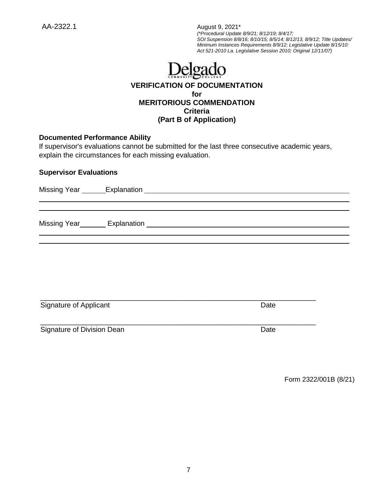AA-2322.1 August 9, 2021\*

*(\*Procedural Update 8/9/21; 8/12/19; 8/4/17; SOI Suspension 8/8/16; 8/10/15; 8/5/14; 8/12/13, 8/9/12; Title Updates/ Minimum Instances Requirements 8/9/12; Legislative Update 8/15/10: Act 521-2010 La. Legislative Session 2010; Original 12/11/07)*

# Delgado **VERIFICATION OF DOCUMENTATION for MERITORIOUS COMMENDATION Criteria**

# **(Part B of Application)**

# **Documented Performance Ability**

If supervisor's evaluations cannot be submitted for the last three consecutive academic years, explain the circumstances for each missing evaluation.

### **Supervisor Evaluations**

| Signature of Applicant     | Date |
|----------------------------|------|
| Signature of Division Dean | Date |

Form 2322/001B (8/21)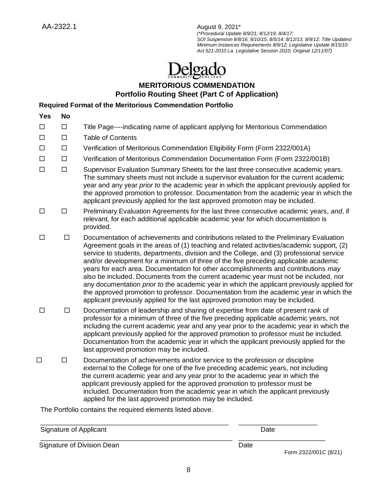# **MERITORIOUS COMMENDATION Portfolio Routing Sheet (Part C of Application)**

# **Required Format of the Meritorious Commendation Portfolio**

| <b>Yes</b> | <b>No</b> |                                                                                                                                                                                                                                                                                                                                                                                                                                                      |
|------------|-----------|------------------------------------------------------------------------------------------------------------------------------------------------------------------------------------------------------------------------------------------------------------------------------------------------------------------------------------------------------------------------------------------------------------------------------------------------------|
| $\Box$     | Ш         | Title Page----indicating name of applicant applying for Meritorious Commendation                                                                                                                                                                                                                                                                                                                                                                     |
| $\Box$     |           | <b>Table of Contents</b>                                                                                                                                                                                                                                                                                                                                                                                                                             |
| $\Box$     | □         | Verification of Meritorious Commendation Eligibility Form (Form 2322/001A)                                                                                                                                                                                                                                                                                                                                                                           |
| $\Box$     | □         | Verification of Meritorious Commendation Documentation Form (Form 2322/001B)                                                                                                                                                                                                                                                                                                                                                                         |
| П          | □         | Supervisor Evaluation Summary Sheets for the last three consecutive academic years.<br>The summary sheets must not include a supervisor evaluation for the current academic<br>year and any year prior to the academic year in which the applicant previously applied for<br>the approved promotion to professor. Documentation from the academic year in which the<br>applicant previously applied for the last approved promotion may be included. |
| П          | ΙI        | Preliminary Evaluation Agreements for the last three consecutive academic years, and, if<br>relevant, for each additional applicable academic year for which documentation is<br>provided.                                                                                                                                                                                                                                                           |
|            |           |                                                                                                                                                                                                                                                                                                                                                                                                                                                      |

- $\square$   $\square$  Documentation of achievements and contributions related to the Preliminary Evaluation Agreement goals in the areas of (1) teaching and related activities/academic support, (2) service to students, departments, division and the College, and (3) professional service and/or development for a minimum of three of the five preceding applicable academic years for each area. Documentation for other accomplishments and contributions *may* also be included. Documents from the current academic year must not be included, nor any documentation *prior to* the academic year in which the applicant previously applied for the approved promotion to professor. Documentation from the academic year in which the applicant previously applied for the last approved promotion may be included.
- $\square$   $\square$  Documentation of leadership and sharing of expertise from date of present rank of professor for a minimum of three of the five preceding applicable academic years, not including the current academic year and any year prior to the academic year in which the applicant previously applied for the approved promotion to professor must be included. Documentation from the academic year in which the applicant previously applied for the last approved promotion may be included.
- $\square$   $\square$  Documentation of achievements and/or service to the profession or discipline external to the College for one of the five preceding academic years, not including the current academic year and any year prior to the academic year in which the applicant previously applied for the approved promotion to professor must be included. Documentation from the academic year in which the applicant previously applied for the last approved promotion may be included.

The Portfolio contains the required elements listed above.

\_\_\_\_\_\_\_\_\_\_\_\_\_\_\_\_\_\_\_\_\_\_\_\_\_\_\_\_\_\_\_\_\_\_\_\_\_\_\_\_\_\_\_\_\_\_\_\_\_\_ \_\_\_\_\_\_\_\_\_\_\_\_\_\_\_\_\_\_\_\_\_ Signature of Applicant Date Controller Controller Controller Controller Controller Controller Controller Controller \_\_\_\_\_\_\_\_\_\_\_\_\_\_\_\_\_\_\_\_\_\_\_\_\_\_\_\_\_\_\_\_\_\_\_\_\_\_\_\_\_\_\_\_\_\_\_\_\_\_\_ \_\_\_\_\_\_\_\_\_\_\_\_\_\_\_\_\_\_\_\_\_\_\_ Signature of Division Dean **Date** Date Date Form 2322/001C (8/21)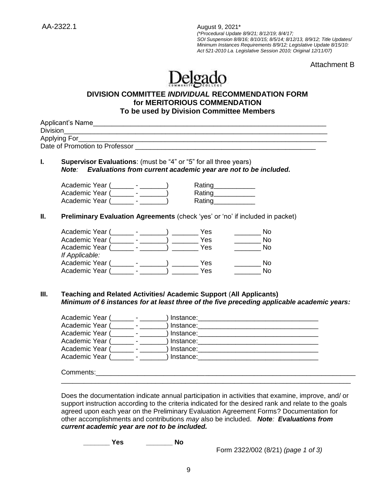Attachment B

# Delgado

# **DIVISION COMMITTEE** *INDIVIDUAL* **RECOMMENDATION FORM for MERITORIOUS COMMENDATION To be used by Division Committee Members**

| Applying For                                                                     | <u> 1980 - John Stein, Amerikaansk politiker (* 1900)</u>      | Date of Promotion to Professor <b>Example 20</b> No. 2014 19:30 No. 2014                                                                                                                                                       |
|----------------------------------------------------------------------------------|----------------------------------------------------------------|--------------------------------------------------------------------------------------------------------------------------------------------------------------------------------------------------------------------------------|
|                                                                                  |                                                                |                                                                                                                                                                                                                                |
| <b>Supervisor Evaluations:</b> (must be "4" or "5" for all three years)<br>Note: | Evaluations from current academic year are not to be included. |                                                                                                                                                                                                                                |
|                                                                                  |                                                                |                                                                                                                                                                                                                                |
| Academic Year (_______ - _______)                                                | Rating_____________                                            |                                                                                                                                                                                                                                |
| Academic Year (Fig. 2014)                                                        | Rating<br><u>Example</u>                                       |                                                                                                                                                                                                                                |
| Academic Year (Fig. 1986)                                                        | Rating___________                                              |                                                                                                                                                                                                                                |
| Preliminary Evaluation Agreements (check 'yes' or 'no' if included in packet)    |                                                                |                                                                                                                                                                                                                                |
|                                                                                  |                                                                |                                                                                                                                                                                                                                |
|                                                                                  |                                                                | <b>No</b>                                                                                                                                                                                                                      |
| Academic Year (_______- - _______) __________ Yes                                |                                                                | <b>No</b>                                                                                                                                                                                                                      |
| Academic Year (Fig. 2015) Pres                                                   |                                                                | <b>No</b>                                                                                                                                                                                                                      |
| If Applicable:                                                                   |                                                                |                                                                                                                                                                                                                                |
|                                                                                  |                                                                | $\overline{\phantom{a}}$ No                                                                                                                                                                                                    |
| Academic Year (Fig. 2015) Pes                                                    |                                                                | <b>No</b>                                                                                                                                                                                                                      |
|                                                                                  |                                                                |                                                                                                                                                                                                                                |
| <b>Teaching and Related Activities/ Academic Support (All Applicants)</b>        |                                                                |                                                                                                                                                                                                                                |
|                                                                                  |                                                                | Minimum of 6 instances for at least three of the five preceding applicable academic years:                                                                                                                                     |
| Academic Year (_______ - _______                                                 |                                                                |                                                                                                                                                                                                                                |
| Academic Year (_______ - _______                                                 |                                                                |                                                                                                                                                                                                                                |
| Academic Year (_______ - ______                                                  |                                                                |                                                                                                                                                                                                                                |
|                                                                                  |                                                                |                                                                                                                                                                                                                                |
| Academic Year (_______ - ______                                                  |                                                                |                                                                                                                                                                                                                                |
|                                                                                  |                                                                | Academic Year (about the contract of the contract of the contract of the contract of the contract of the contract of the contract of the contract of the contract of the contract of the contract of the contract of the contr |
|                                                                                  |                                                                |                                                                                                                                                                                                                                |
|                                                                                  |                                                                |                                                                                                                                                                                                                                |

support instruction according to the criteria indicated for the desired rank and relate to the goals agreed upon each year on the Preliminary Evaluation Agreement Forms? Documentation for other accomplishments and contributions *may* also be included. *Note: Evaluations from current academic year are not to be included.*

**\_\_\_\_\_\_\_ Yes \_\_\_\_\_\_\_ No**

Form 2322/002 (8/21) *(page 1 of 3)*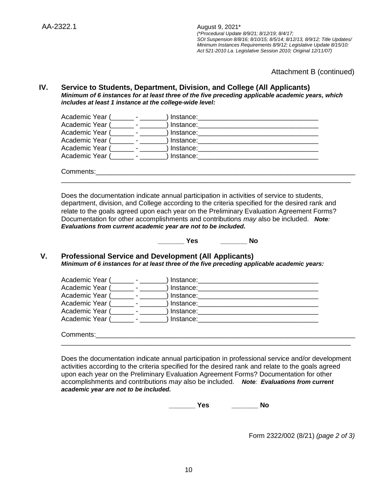Attachment B (continued)

#### **IV. Service to Students, Department, Division, and College (All Applicants)** *Minimum of 6 instances for at least three of the five preceding applicable academic years, which includes at least 1 instance at the college-wide level:*

| Academic Year ( | Instance:   |  |  |
|-----------------|-------------|--|--|
| Academic Year ( | J Instance: |  |  |
| Academic Year ( | Instance:   |  |  |
| Academic Year ( | ) Instance: |  |  |
| Academic Year ( | Instance:   |  |  |
| Academic Year ( | Instance:   |  |  |
|                 |             |  |  |
| Comments:       |             |  |  |

Does the documentation indicate annual participation in activities of service to students, department, division, and College according to the criteria specified for the desired rank and relate to the goals agreed upon each year on the Preliminary Evaluation Agreement Forms? Documentation for other accomplishments and contributions *may* also be included. *Note: Evaluations from current academic year are not to be included.* 

\_\_\_\_\_\_\_\_\_\_\_\_\_\_\_\_\_\_\_\_\_\_\_\_\_\_\_\_\_\_\_\_\_\_\_\_\_\_\_\_\_\_\_\_\_\_\_\_\_\_\_\_\_\_\_\_\_\_\_\_\_\_\_\_\_\_\_\_\_\_\_\_\_\_\_\_\_

**\_\_\_\_\_\_\_ Yes \_\_\_\_\_\_\_ No**

# **V. Professional Service and Development (All Applicants)** *Minimum of 6 instances for at least three of the five preceding applicable academic years:*

| Academic Year ( | Instance:   |  |  |
|-----------------|-------------|--|--|
| Academic Year ( | ) Instance: |  |  |
| Academic Year ( | Instance:   |  |  |
| Academic Year ( | ) Instance: |  |  |
| Academic Year ( | Instance:   |  |  |
| Academic Year ( | Instance:   |  |  |
| Comments:       |             |  |  |

Does the documentation indicate annual participation in professional service and/or development activities according to the criteria specified for the desired rank and relate to the goals agreed upon each year on the Preliminary Evaluation Agreement Forms? Documentation for other accomplishments and contributions *may* also be included. *Note: Evaluations from current academic year are not to be included.* 

\_\_\_\_\_\_\_\_\_\_\_\_\_\_\_\_\_\_\_\_\_\_\_\_\_\_\_\_\_\_\_\_\_\_\_\_\_\_\_\_\_\_\_\_\_\_\_\_\_\_\_\_\_\_\_\_\_\_\_\_\_\_\_\_\_\_\_\_\_\_\_\_\_\_\_\_\_

**\_\_\_\_\_\_\_ Yes \_\_\_\_\_\_\_ No**

Form 2322/002 (8/21) *(page 2 of 3)*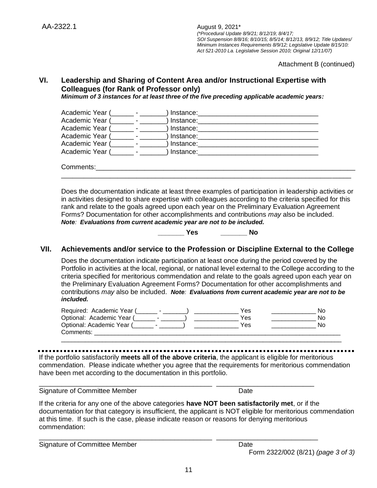Attachment B (continued)

# **VI. Leadership and Sharing of Content Area and/or Instructional Expertise with Colleagues (for Rank of Professor only)**

*Minimum of 3 instances for at least three of the five preceding applicable academic years:*

| Academic Year ( |                          | Instance: |  |  |
|-----------------|--------------------------|-----------|--|--|
| Academic Year ( | <b>Contract Contract</b> | Instance: |  |  |
| Academic Year ( | <b>Service State</b>     | Instance: |  |  |
| Academic Year ( |                          | Instance: |  |  |
| Academic Year ( |                          | Instance: |  |  |
| Academic Year ( |                          | Instance: |  |  |
| Comments:       |                          |           |  |  |
|                 |                          |           |  |  |

Does the documentation indicate at least three examples of participation in leadership activities or in activities designed to share expertise with colleagues according to the criteria specified for this rank and relate to the goals agreed upon each year on the Preliminary Evaluation Agreement Forms? Documentation for other accomplishments and contributions *may* also be included. *Note: Evaluations from current academic year are not to be included.*

**\_\_\_\_\_\_\_ Yes \_\_\_\_\_\_\_ No**

# **VII. Achievements and/or service to the Profession or Discipline External to the College**

Does the documentation indicate participation at least once during the period covered by the Portfolio in activities at the local, regional, or national level external to the College according to the criteria specified for meritorious commendation and relate to the goals agreed upon each year on the Preliminary Evaluation Agreement Forms? Documentation for other accomplishments and contributions *may* also be included. *Note: Evaluations from current academic year are not to be included.*

| Required: Academic Year ( | Yes | Nο |
|---------------------------|-----|----|
| Optional: Academic Year ( | Yes | N٥ |
| Optional: Academic Year ( | Yes | N٥ |
| Comments:                 |     |    |
|                           |     |    |

If the portfolio satisfactorily **meets all of the above criteria**, the applicant is eligible for meritorious commendation. Please indicate whether you agree that the requirements for meritorious commendation have been met according to the documentation in this portfolio.

\_\_\_\_\_\_\_\_\_\_\_\_\_\_\_\_\_\_\_\_\_\_\_\_\_\_\_\_\_\_\_\_\_\_\_\_\_\_\_\_\_\_\_\_\_\_ \_\_\_\_\_\_\_\_\_\_\_\_\_\_\_\_\_\_\_\_\_\_\_\_\_\_

\_\_\_\_\_\_\_\_\_\_\_\_\_\_\_\_\_\_\_\_\_\_\_\_\_\_\_\_\_\_\_\_\_\_\_\_\_\_\_\_\_\_\_\_\_\_ \_\_\_\_\_\_\_\_\_\_\_\_\_\_\_\_\_\_\_\_\_\_\_\_\_\_\_

Signature of Committee Member Date Date

If the criteria for any one of the above categories **have NOT been satisfactorily met**, or if the documentation for that category is insufficient, the applicant is NOT eligible for meritorious commendation at this time. If such is the case, please indicate reason or reasons for denying meritorious commendation:

Signature of Committee Member Date

Form 2322/002 (8/21) *(page 3 of 3)*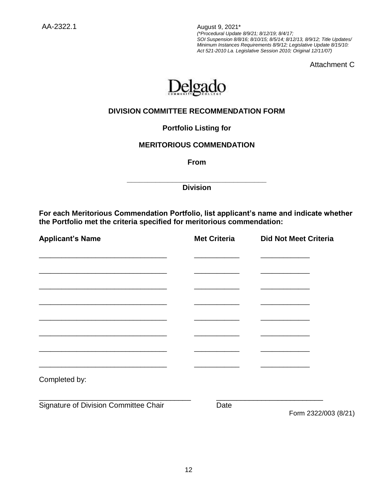Attachment C



# **DIVISION COMMITTEE RECOMMENDATION FORM**

**Portfolio Listing for** 

# **MERITORIOUS COMMENDATION**

**From**

**\_\_\_\_\_\_\_\_\_\_\_\_\_\_\_\_\_\_\_\_\_\_\_\_\_\_\_\_\_\_\_\_\_\_ Division**

**For each Meritorious Commendation Portfolio, list applicant's name and indicate whether the Portfolio met the criteria specified for meritorious commendation:**

| <b>Applicant's Name</b>               | <b>Met Criteria</b> | <b>Did Not Meet Criteria</b> |  |
|---------------------------------------|---------------------|------------------------------|--|
|                                       |                     |                              |  |
|                                       |                     |                              |  |
|                                       |                     |                              |  |
|                                       |                     |                              |  |
|                                       |                     |                              |  |
|                                       |                     |                              |  |
|                                       |                     |                              |  |
| Completed by:                         |                     |                              |  |
| Signature of Division Committee Chair | Date                | Form 2322/003 (8/21)         |  |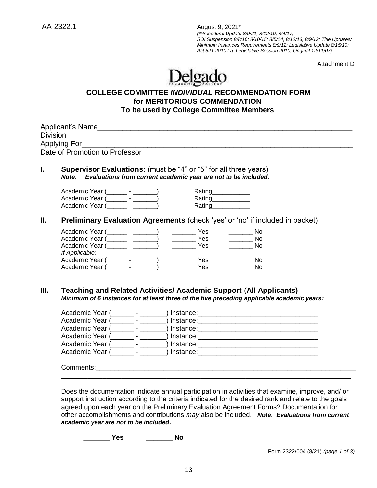Attachment D

# Delgado

# **COLLEGE COMMITTEE** *INDIVIDUAL* **RECOMMENDATION FORM for MERITORIOUS COMMENDATION To be used by College Committee Members**

| L.   | <b>Supervisor Evaluations:</b> (must be "4" or "5" for all three years)<br>Note: Evaluations from current academic year are not to be included.                                                                                                                                                                                                                    |
|------|--------------------------------------------------------------------------------------------------------------------------------------------------------------------------------------------------------------------------------------------------------------------------------------------------------------------------------------------------------------------|
|      | Academic Year (_________- _________)<br>Rating<br>Academic Year (________ - _______)<br>Rating__________                                                                                                                                                                                                                                                           |
|      | Academic Year (Fig. 2015)<br>Rating                                                                                                                                                                                                                                                                                                                                |
| Ш.   | Preliminary Evaluation Agreements (check 'yes' or 'no' if included in packet)                                                                                                                                                                                                                                                                                      |
|      | $\rule{1em}{0.15mm}$ Yes<br>Academic Year (________- - _______)<br>$\frac{1}{\sqrt{1-\frac{1}{2}}}\textsf{No}$                                                                                                                                                                                                                                                     |
|      | $\rule{1em}{0.15mm}$ Yes<br>Academic Year (________- - _______)<br>$\frac{1}{\sqrt{1-\frac{1}{2}}}\textbf{No}$                                                                                                                                                                                                                                                     |
|      | Academic Year (Collection - Collection - Collection - Collection - Collection - Collection - Collection - Coll<br>$\frac{1}{1}$ Yes<br>$\frac{1}{\sqrt{1-\frac{1}{2}}}\textsf{No}$                                                                                                                                                                                 |
|      | If Applicable:                                                                                                                                                                                                                                                                                                                                                     |
|      | $\overline{\phantom{a}}$ No<br>No                                                                                                                                                                                                                                                                                                                                  |
| III. | <b>Teaching and Related Activities/ Academic Support (All Applicants)</b><br>Minimum of 6 instances for at least three of the five preceding applicable academic years:                                                                                                                                                                                            |
|      | Academic Year (_______- - _______) Instance: ___________________________________                                                                                                                                                                                                                                                                                   |
|      | Academic Year (_______- - _______) Instance: ___________________________________                                                                                                                                                                                                                                                                                   |
|      | Academic Year (_______- - ________) Instance: __________________________________                                                                                                                                                                                                                                                                                   |
|      |                                                                                                                                                                                                                                                                                                                                                                    |
|      |                                                                                                                                                                                                                                                                                                                                                                    |
|      | Academic Year (about a contract of the state of the state of the state of the state of the state of the state o                                                                                                                                                                                                                                                    |
|      |                                                                                                                                                                                                                                                                                                                                                                    |
|      | <u> 1989 - Johann Stoff, amerikansk politiker (d. 1989)</u><br>Does the documentation indicate annual participation in activities that examine, improve, and/ or<br>support instruction according to the criteria indicated for the desired rank and relate to the goals<br>egreed upon each vear on the Proliminary Evaluation Agreement Fermal Dequmentation for |

agreed upon each year on the Preliminary Evaluation Agreement Forms? Documentation for other accomplishments and contributions *may* also be included. *Note: Evaluations from current academic year are not to be included.*

**\_\_\_\_\_\_\_ Yes \_\_\_\_\_\_\_ No**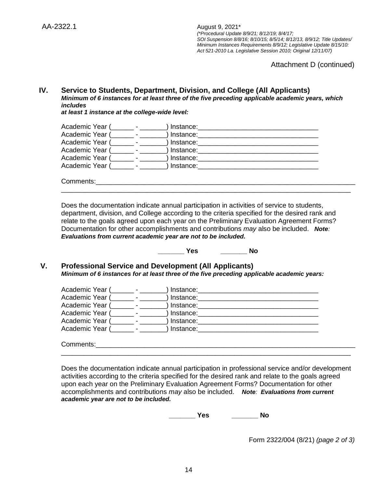Attachment D (continued)

#### **IV. Service to Students, Department, Division, and College (All Applicants)** *Minimum of 6 instances for at least three of the five preceding applicable academic years, which includes*

*at least 1 instance at the college-wide level:*

Comments:\_\_\_\_\_\_\_\_\_\_\_\_\_\_\_\_\_\_\_\_\_\_\_\_\_\_\_\_\_\_\_\_\_\_\_\_\_\_\_\_\_\_\_\_\_\_\_\_\_\_\_\_\_\_\_\_\_\_\_\_\_\_\_\_\_\_\_\_\_

| Academic Year ( |  | Instance:   |
|-----------------|--|-------------|
| Academic Year ( |  | Instance:   |
| Academic Year ( |  | ) Instance: |
| Academic Year ( |  | ) Instance: |
| Academic Year ( |  | Instance:   |
| Academic Year ( |  | Instance:   |
|                 |  |             |

Does the documentation indicate annual participation in activities of service to students, department, division, and College according to the criteria specified for the desired rank and relate to the goals agreed upon each year on the Preliminary Evaluation Agreement Forms? Documentation for other accomplishments and contributions *may* also be included. *Note: Evaluations from current academic year are not to be included.* 

\_\_\_\_\_\_\_\_\_\_\_\_\_\_\_\_\_\_\_\_\_\_\_\_\_\_\_\_\_\_\_\_\_\_\_\_\_\_\_\_\_\_\_\_\_\_\_\_\_\_\_\_\_\_\_\_\_\_\_\_\_\_\_\_\_\_\_\_\_\_\_\_\_\_\_\_\_

**\_\_\_\_\_\_\_ Yes \_\_\_\_\_\_\_ No**

### **V. Professional Service and Development (All Applicants)** *Minimum of 6 instances for at least three of the five preceding applicable academic years:*

| Academic Year ( | Instance: |  |
|-----------------|-----------|--|
| Academic Year ( | Instance: |  |
| Academic Year ( | Instance: |  |
| Academic Year ( | Instance: |  |
| Academic Year ( | Instance: |  |
| Academic Year ( | Instance: |  |
|                 |           |  |
| Comments:       |           |  |

Does the documentation indicate annual participation in professional service and/or development activities according to the criteria specified for the desired rank and relate to the goals agreed upon each year on the Preliminary Evaluation Agreement Forms? Documentation for other accomplishments and contributions *may* also be included. *Note: Evaluations from current academic year are not to be included.* 

\_\_\_\_\_\_\_\_\_\_\_\_\_\_\_\_\_\_\_\_\_\_\_\_\_\_\_\_\_\_\_\_\_\_\_\_\_\_\_\_\_\_\_\_\_\_\_\_\_\_\_\_\_\_\_\_\_\_\_\_\_\_\_\_\_\_\_\_\_\_\_\_\_\_\_\_\_

**\_\_\_\_\_\_\_ Yes \_\_\_\_\_\_\_ No**

Form 2322/004 (8/21) *(page 2 of 3)*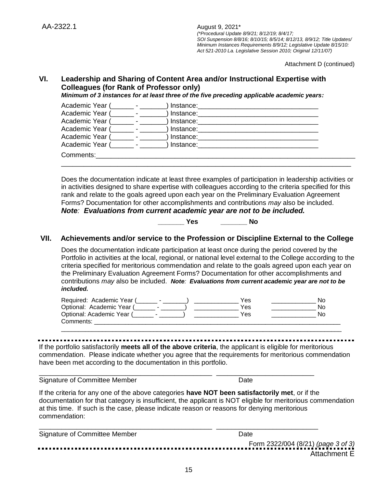Attachment D (continued)

# **VI. Leadership and Sharing of Content Area and/or Instructional Expertise with Colleagues (for Rank of Professor only)**

*Minimum of 3 instances for at least three of the five preceding applicable academic years:*

| Academic Year ( |                          | Instance: |  |
|-----------------|--------------------------|-----------|--|
| Academic Year ( | $\sim 100$ km s $^{-1}$  | Instance: |  |
| Academic Year ( |                          | Instance: |  |
| Academic Year ( |                          | Instance: |  |
| Academic Year ( |                          | Instance: |  |
| Academic Year ( | <b>Contract Contract</b> | Instance: |  |
| Comments:       |                          |           |  |
|                 |                          |           |  |

Does the documentation indicate at least three examples of participation in leadership activities or in activities designed to share expertise with colleagues according to the criteria specified for this rank and relate to the goals agreed upon each year on the Preliminary Evaluation Agreement Forms? Documentation for other accomplishments and contributions *may* also be included. *Note: Evaluations from current academic year are not to be included.*

**\_\_\_\_\_\_\_ Yes \_\_\_\_\_\_\_ No**

# **VII. Achievements and/or service to the Profession or Discipline External to the College**

Does the documentation indicate participation at least once during the period covered by the Portfolio in activities at the local, regional, or national level external to the College according to the criteria specified for meritorious commendation and relate to the goals agreed upon each year on the Preliminary Evaluation Agreement Forms? Documentation for other accomplishments and contributions *may* also be included. *Note: Evaluations from current academic year are not to be included.*

| Required: Academic Year ( | Yes | NΟ |
|---------------------------|-----|----|
| Optional: Academic Year ( | Yes | N٥ |
| Optional: Academic Year ( | Yes | N٥ |
| Comments:                 |     |    |
|                           |     |    |

If the portfolio satisfactorily **meets all of the above criteria**, the applicant is eligible for meritorious commendation. Please indicate whether you agree that the requirements for meritorious commendation have been met according to the documentation in this portfolio.

\_\_\_\_\_\_\_\_\_\_\_\_\_\_\_\_\_\_\_\_\_\_\_\_\_\_\_\_\_\_\_\_\_\_\_\_\_\_\_\_\_\_\_\_\_\_ \_\_\_\_\_\_\_\_\_\_\_\_\_\_\_\_\_\_\_\_\_\_\_\_\_\_

Signature of Committee Member Date Date

If the criteria for any one of the above categories **have NOT been satisfactorily met**, or if the documentation for that category is insufficient, the applicant is NOT eligible for meritorious commendation at this time. If such is the case, please indicate reason or reasons for denying meritorious commendation:

| Signature of Committee Member | Date         |
|-------------------------------|--------------|
|                               |              |
|                               | Attachment E |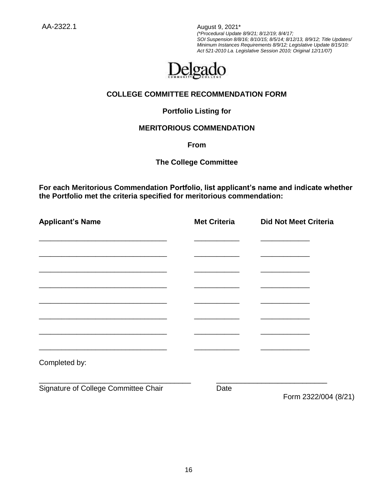AA-2322.1 August 9, 2021\*

*(\*Procedural Update 8/9/21; 8/12/19; 8/4/17; SOI Suspension 8/8/16; 8/10/15; 8/5/14; 8/12/13, 8/9/12; Title Updates/ Minimum Instances Requirements 8/9/12; Legislative Update 8/15/10: Act 521-2010 La. Legislative Session 2010; Original 12/11/07)*



# **COLLEGE COMMITTEE RECOMMENDATION FORM**

# **Portfolio Listing for**

# **MERITORIOUS COMMENDATION**

**From**

# **The College Committee**

**For each Meritorious Commendation Portfolio, list applicant's name and indicate whether the Portfolio met the criteria specified for meritorious commendation:**

| <b>Applicant's Name</b>              | <b>Met Criteria</b> | <b>Did Not Meet Criteria</b> |
|--------------------------------------|---------------------|------------------------------|
|                                      |                     |                              |
|                                      |                     |                              |
|                                      |                     |                              |
|                                      |                     |                              |
|                                      |                     |                              |
|                                      |                     |                              |
|                                      |                     |                              |
| Completed by:                        |                     |                              |
| Signature of College Committee Chair | Date                | Form 2322/004 (8/21)         |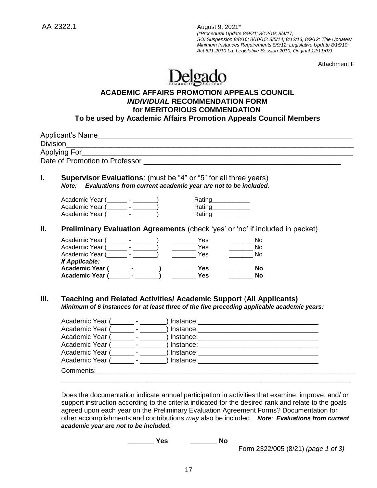Attachment F

# Delgado

# **ACADEMIC AFFAIRS PROMOTION APPEALS COUNCIL** *INDIVIDUAL* **RECOMMENDATION FORM for MERITORIOUS COMMENDATION To be used by Academic Affairs Promotion Appeals Council Members**

|      | Applying For                                                                                                                             |                                                        |                                                                                                                                                                                                                                                                                                                                                                                                                      | Date of Promotion to Professor <b>Example 20</b> No. 1 No. 1 No. 1 No. 1 No. 1 No. 1 No. 1 No. 1 No. 1 No. 1 No. 1 No                                                   |  |
|------|------------------------------------------------------------------------------------------------------------------------------------------|--------------------------------------------------------|----------------------------------------------------------------------------------------------------------------------------------------------------------------------------------------------------------------------------------------------------------------------------------------------------------------------------------------------------------------------------------------------------------------------|-------------------------------------------------------------------------------------------------------------------------------------------------------------------------|--|
| L.   | Supervisor Evaluations: (must be "4" or "5" for all three years)<br>Note: Evaluations from current academic year are not to be included. |                                                        |                                                                                                                                                                                                                                                                                                                                                                                                                      |                                                                                                                                                                         |  |
|      | Academic Year (_______ - _______)<br>Academic Year (2002)<br>Academic Year (Fig. 1986)                                                   |                                                        |                                                                                                                                                                                                                                                                                                                                                                                                                      | Rating___________<br>Rating___________<br>Rating                                                                                                                        |  |
| П.   |                                                                                                                                          |                                                        |                                                                                                                                                                                                                                                                                                                                                                                                                      | Preliminary Evaluation Agreements (check 'yes' or 'no' if included in packet)                                                                                           |  |
|      |                                                                                                                                          |                                                        | $\frac{1}{\sqrt{1-\frac{1}{2}}\sqrt{1-\frac{1}{2}}\sqrt{1-\frac{1}{2}}\sqrt{1-\frac{1}{2}}\sqrt{1-\frac{1}{2}}\sqrt{1-\frac{1}{2}}\sqrt{1-\frac{1}{2}}\sqrt{1-\frac{1}{2}}\sqrt{1-\frac{1}{2}}\sqrt{1-\frac{1}{2}}\sqrt{1-\frac{1}{2}}\sqrt{1-\frac{1}{2}}\sqrt{1-\frac{1}{2}}\sqrt{1-\frac{1}{2}}\sqrt{1-\frac{1}{2}}\sqrt{1-\frac{1}{2}}\sqrt{1-\frac{1}{2}}\sqrt{1-\frac{1}{2}}\sqrt{1-\frac{1}{2}}\sqrt{1-\frac$ | No.                                                                                                                                                                     |  |
|      | Academic Year (____________________)                                                                                                     |                                                        | $\frac{1}{1}$ Yes                                                                                                                                                                                                                                                                                                                                                                                                    | No.                                                                                                                                                                     |  |
|      | Academic Year (Fig. 1986)                                                                                                                |                                                        | <b>Example Street</b> Yes                                                                                                                                                                                                                                                                                                                                                                                            | N <sub>0</sub>                                                                                                                                                          |  |
|      | If Applicable:                                                                                                                           |                                                        |                                                                                                                                                                                                                                                                                                                                                                                                                      |                                                                                                                                                                         |  |
|      | Academic Year (Fig. 2014)                                                                                                                |                                                        | $\frac{1}{2}$ Yes                                                                                                                                                                                                                                                                                                                                                                                                    | <b>No</b>                                                                                                                                                               |  |
|      | Academic Year (Fig. 1986)                                                                                                                |                                                        | <b>Yes</b>                                                                                                                                                                                                                                                                                                                                                                                                           | <b>No</b>                                                                                                                                                               |  |
| III. |                                                                                                                                          |                                                        |                                                                                                                                                                                                                                                                                                                                                                                                                      | <b>Teaching and Related Activities/ Academic Support (All Applicants)</b><br>Minimum of 6 instances for at least three of the five preceding applicable academic years: |  |
|      |                                                                                                                                          |                                                        |                                                                                                                                                                                                                                                                                                                                                                                                                      |                                                                                                                                                                         |  |
|      | Academic Year (                                                                                                                          |                                                        |                                                                                                                                                                                                                                                                                                                                                                                                                      |                                                                                                                                                                         |  |
|      | Academic Year (                                                                                                                          |                                                        |                                                                                                                                                                                                                                                                                                                                                                                                                      |                                                                                                                                                                         |  |
|      | Academic Year (                                                                                                                          | $\mathcal{L} = \mathcal{L} \left( \mathcal{L} \right)$ |                                                                                                                                                                                                                                                                                                                                                                                                                      |                                                                                                                                                                         |  |
|      | Academic Year (                                                                                                                          | and the state of the state of                          |                                                                                                                                                                                                                                                                                                                                                                                                                      |                                                                                                                                                                         |  |
|      |                                                                                                                                          |                                                        |                                                                                                                                                                                                                                                                                                                                                                                                                      |                                                                                                                                                                         |  |
|      |                                                                                                                                          |                                                        |                                                                                                                                                                                                                                                                                                                                                                                                                      |                                                                                                                                                                         |  |
|      |                                                                                                                                          |                                                        |                                                                                                                                                                                                                                                                                                                                                                                                                      |                                                                                                                                                                         |  |

Does the documentation indicate annual participation in activities that examine, improve, and/ or support instruction according to the criteria indicated for the desired rank and relate to the goals agreed upon each year on the Preliminary Evaluation Agreement Forms? Documentation for other accomplishments and contributions *may* also be included. *Note: Evaluations from current academic year are not to be included.*

**\_\_\_\_\_\_\_ Yes \_\_\_\_\_\_\_ No**

Form 2322/005 (8/21) *(page 1 of 3)*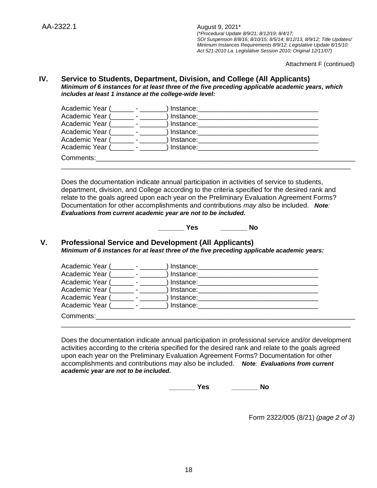Attachment F (continued)

### **IV. Service to Students, Department, Division, and College (All Applicants)** *Minimum of 6 instances for at least three of the five preceding applicable academic years, which includes at least 1 instance at the college-wide level:*

| Academic Year ( | Instance: |  |
|-----------------|-----------|--|
| Academic Year ( | Instance: |  |
| Academic Year ( | Instance: |  |
| Academic Year ( | Instance: |  |
| Academic Year ( | Instance: |  |
| Academic Year ( | Instance: |  |
| Comments:       |           |  |
|                 |           |  |

Does the documentation indicate annual participation in activities of service to students, department, division, and College according to the criteria specified for the desired rank and relate to the goals agreed upon each year on the Preliminary Evaluation Agreement Forms? Documentation for other accomplishments and contributions *may* also be included. *Note: Evaluations from current academic year are not to be included.* 

**\_\_\_\_\_\_\_ Yes \_\_\_\_\_\_\_ No**

#### **V. Professional Service and Development (All Applicants)** *Minimum of 6 instances for at least three of the five preceding applicable academic years:*

| Academic Year ( |                | Instance:   |  |
|-----------------|----------------|-------------|--|
| Academic Year ( | $\blacksquare$ | Instance:   |  |
| Academic Year ( |                | Instance:   |  |
| Academic Year ( |                | Instance:   |  |
| Academic Year ( |                | Instance:   |  |
| Academic Year ( |                | ) Instance: |  |
| Comments:       |                |             |  |
|                 |                |             |  |

Does the documentation indicate annual participation in professional service and/or development activities according to the criteria specified for the desired rank and relate to the goals agreed upon each year on the Preliminary Evaluation Agreement Forms? Documentation for other accomplishments and contributions *may* also be included. *Note: Evaluations from current academic year are not to be included.* 

**\_\_\_\_\_\_\_ Yes \_\_\_\_\_\_\_ No**

Form 2322/005 (8/21) *(page 2 of 3)*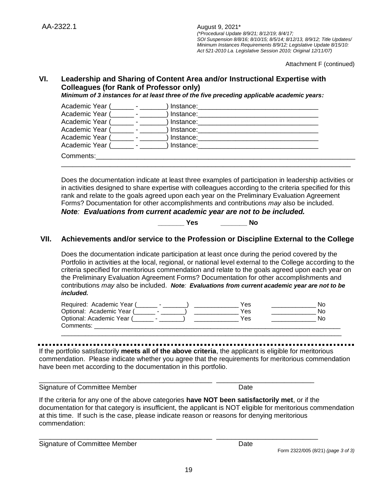Attachment F (continued)

# **VI. Leadership and Sharing of Content Area and/or Instructional Expertise with Colleagues (for Rank of Professor only)**

*Minimum of 3 instances for at least three of the five preceding applicable academic years:*

| Academic Year ( |                          | Instance:   |  |
|-----------------|--------------------------|-------------|--|
| Academic Year ( | <b>Contract Contract</b> | ) Instance: |  |
| Academic Year ( |                          | Instance:   |  |
| Academic Year ( |                          | Instance:   |  |
| Academic Year ( |                          | Instance:   |  |
| Academic Year ( |                          | ) Instance: |  |
| Comments:       |                          |             |  |
|                 |                          |             |  |

Does the documentation indicate at least three examples of participation in leadership activities or in activities designed to share expertise with colleagues according to the criteria specified for this rank and relate to the goals agreed upon each year on the Preliminary Evaluation Agreement Forms? Documentation for other accomplishments and contributions *may* also be included. *Note: Evaluations from current academic year are not to be included.*

**\_\_\_\_\_\_\_ Yes \_\_\_\_\_\_\_ No**

# **VII. Achievements and/or service to the Profession or Discipline External to the College**

Does the documentation indicate participation at least once during the period covered by the Portfolio in activities at the local, regional, or national level external to the College according to the criteria specified for meritorious commendation and relate to the goals agreed upon each year on the Preliminary Evaluation Agreement Forms? Documentation for other accomplishments and contributions *may* also be included. *Note: Evaluations from current academic year are not to be included.*

| Required: Academic Year ( | Yes | Nο  |
|---------------------------|-----|-----|
| Optional: Academic Year ( | Yes | No  |
| Optional: Academic Year ( | Yes | No. |
| Comments:                 |     |     |

\_\_\_\_\_\_\_\_\_\_\_\_\_\_\_\_\_\_\_\_\_\_\_\_\_\_\_\_\_\_\_\_\_\_\_\_\_\_\_\_\_\_\_\_\_\_\_\_\_\_\_\_\_\_\_\_\_\_\_\_\_\_\_\_\_\_\_\_\_\_\_\_\_\_\_\_\_\_\_\_\_\_

If the portfolio satisfactorily **meets all of the above criteria**, the applicant is eligible for meritorious commendation. Please indicate whether you agree that the requirements for meritorious commendation have been met according to the documentation in this portfolio.

\_\_\_\_\_\_\_\_\_\_\_\_\_\_\_\_\_\_\_\_\_\_\_\_\_\_\_\_\_\_\_\_\_\_\_\_\_\_\_\_\_\_\_\_\_\_ \_\_\_\_\_\_\_\_\_\_\_\_\_\_\_\_\_\_\_\_\_\_\_\_\_\_

\_\_\_\_\_\_\_\_\_\_\_\_\_\_\_\_\_\_\_\_\_\_\_\_\_\_\_\_\_\_\_\_\_\_\_\_\_\_\_\_\_\_\_\_\_\_ \_\_\_\_\_\_\_\_\_\_\_\_\_\_\_\_\_\_\_\_\_\_\_\_\_\_\_

Signature of Committee Member Date Date

If the criteria for any one of the above categories **have NOT been satisfactorily met**, or if the documentation for that category is insufficient, the applicant is NOT eligible for meritorious commendation at this time. If such is the case, please indicate reason or reasons for denying meritorious commendation:

Signature of Committee Member Date Date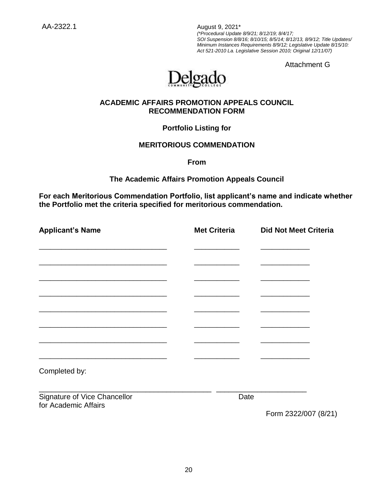AA-2322.1 August 9, 2021\*

*(\*Procedural Update 8/9/21; 8/12/19; 8/4/17; SOI Suspension 8/8/16; 8/10/15; 8/5/14; 8/12/13, 8/9/12; Title Updates/ Minimum Instances Requirements 8/9/12; Legislative Update 8/15/10: Act 521-2010 La. Legislative Session 2010; Original 12/11/07)*

Attachment G



# **ACADEMIC AFFAIRS PROMOTION APPEALS COUNCIL RECOMMENDATION FORM**

**Portfolio Listing for** 

# **MERITORIOUS COMMENDATION**

**From**

**The Academic Affairs Promotion Appeals Council**

**For each Meritorious Commendation Portfolio, list applicant's name and indicate whether the Portfolio met the criteria specified for meritorious commendation.**

| <b>Applicant's Name</b>                                                                                                | <b>Met Criteria</b> | <b>Did Not Meet Criteria</b> |
|------------------------------------------------------------------------------------------------------------------------|---------------------|------------------------------|
|                                                                                                                        |                     |                              |
|                                                                                                                        |                     |                              |
|                                                                                                                        |                     |                              |
|                                                                                                                        |                     |                              |
| <u> 1989 - Johann John Stone, mars et al. 1989 - John Stone, mars et al. 1989 - John Stone, mars et al. 1989 - Joh</u> |                     |                              |
|                                                                                                                        |                     |                              |
|                                                                                                                        |                     |                              |
| Completed by:                                                                                                          |                     |                              |
| Signature of Vice Chancellor<br>for Academic Affairs                                                                   | Date                |                              |
|                                                                                                                        |                     | Form 2322/007 (8/21)         |